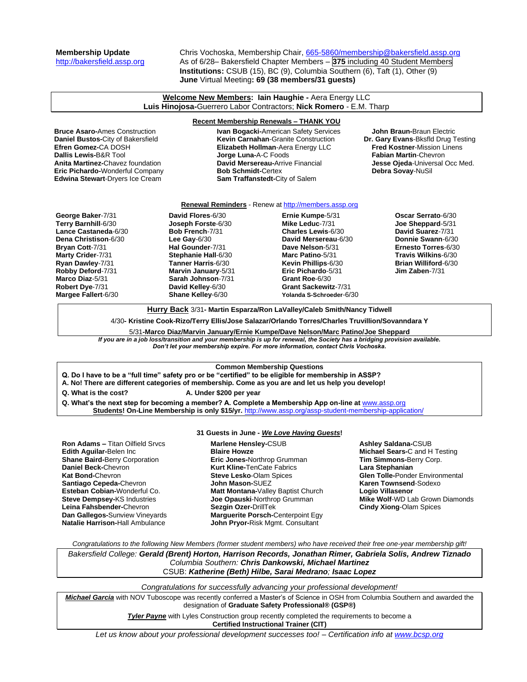# **Membership Update** Chris Vochoska, Membership Chair, [665-5860/membership@bakersfield.assp.org](mailto:665-5860/membership@bakersfield.assp.org) [http://bakersfield.assp.org](http://bakersfield.assp.org/) As of 6/28– Bakersfield Chapter Members – **375** including 40 Student Members **Institutions:** CSUB (15), BC (9), Columbia Southern (6), Taft (1), Other (9) **June** Virtual Meeting**: 69 (38 members/31 guests)**

### **Welcome New Members: Iain Haughie -** Aera Energy LLC **Luis Hinojosa-**Guerrero Labor Contractors; **Nick Romero** - E.M. Tharp

**Eric Pichardo-**Wonderful Company **Edwina Stewart**-Dryers Ice Cream **Sam Traffanstedt-**City of Salem

**Recent Membership Renewals – THANK YOU Bruce Asaro-**Ames Construction **IVan Bogacki-**American Safety Services **John Braun-**Braun Electric<br> **Daniel Bustos-**City of Bakersfield **Internation Artic Construction Internation Dr. Gary Evans-**Bksfld Drug Testing **Kevin Carnahan-Granite Construction Efren Gomez-**CA DOSH **Elizabeth Hollman**-Aera Energy LLC **Fred Kostner**-Mission Linens **Jorge Luna-A-C Foods Anita Martinez-**Chavez foundation **David Mersereau-**Arrive Financial **Jesse Ojeda-**Universal Occ Med.<br>**Eric Pichardo-**Wonderful Company **Bob Schmidt-**Certex **Debra Sovay-NuSil** 

## **Renewal Reminders** - Renew a[t http://members.assp.org](http://members.assp.org/)

**George Baker**-7/31 **Terry Barnhill**-6/30 **Lance Castaneda**-6/30 **Dena Christison**-6/30 **Bryan Cott**-7/31 **Marty Crider**-7/31 **Ryan Dawley**-7/31 **Robby Deford**-7/31 **Marco Diaz**-5/31 **Robert Dye**-7/31 **Margee Fallert**-6/30

**David Flores**-6/30 **Joseph Forste**-6/30 **Bob French**-7/31 **Lee Gay**-6/30 **Hal Gounder**-7/31 **Stephanie Hall**-6/30 **Tanner Harris**-6/30 **Marvin January**-5/31 **Sarah Johnson**-7/31 **David Kelley**-6/30 **Shane Kelley**-6/30

**Ernie Kumpe**-5/31 **Mike Leduc**-7/31 **Charles Lewis**-6/30 **David Mersereau**-6/30 **Dave Nelson**-5/31 **Marc Patino**-5/31 **Kevin Phillips**-6/30 **Eric Pichardo**-5/31 **Grant Roe**-6/30 **Grant Sackewitz**-7/31 **Yolanda S-Schroeder**-6/30

**Oscar Serrato**-6/30 **Joe Sheppard**-5/31 **David Suarez**-7/31 **Donnie Swann**-6/30 **Ernesto Torres**-6/30 **Travis Wilkins**-6/30 **Brian Williford**-6/30 **Jim Zaben**-7/31

**Hurry Back** 3/31**- Martin Esparza/Ron LaValley/Caleb Smith/Nancy Tidwell**

4/30**- Kristine Cook-Rizo/Terry Ellis/Jose Salazar/Orlando Torres/Charles Truvillion/Sovanndara Y**

5/31**-Marco Diaz/Marvin January/Ernie Kumpe/Dave Nelson/Marc Patino/Joe Sheppard**

*If you are in a job loss/transition and your membership is up for renewal, the Society has a bridging provision available. Don't let your membership expire. For more information, contact Chris Vochoska.* 

## **Common Membership Questions**

**Q. Do I have to be a "full time" safety pro or be "certified" to be eligible for membership in ASSP?** 

**A. No! There are different categories of membership. Come as you are and let us help you develop!** 

**Q. What is the cost? A. Under \$200 per year**

**Q. What's the next step for becoming a member? A. Complete a Membership App on-line at** [www.assp.org](http://www.assp.org/) **Students! On-Line Membership is only \$15/yr.** <http://www.assp.org/assp-student-membership-application/>

**Ron Adams –** Titan Oilfield Srvcs **Edith Aguilar-**Belen Inc **Shane Baird-**Berry Corporation **Daniel Beck-**Chevron **Kat Bond-**Chevron **Santiago Cepeda-**Chevron **Esteban Cobian-**Wonderful Co. **Steve Dempsey-**KS Industries **Leina Fahsbender-**Chevron **Dan Gallegos-**Sunview Vineyards **Natalie Harrison-**Hall Ambulance

# **31 Guests in June -** *We Love Having Guests***!**

**Marlene Hensley-**CSUB **Blaire Howze Eric Jones-**Northrop Grumman **Kurt Kline-**TenCate Fabrics **Steve Lesko**-Olam Spices **John Mason-**SUEZ **Matt Montana-**Valley Baptist Church **Joe Opauski**-Northrop Grumman **Sezgin Ozer-**DrillTek **Marguerite Porsch-**Centerpoint Egy **John Pryor-**Risk Mgmt. Consultant

**Ashley Saldana-**CSUB **Michael Sears-**C and H Testing **Tim Simmons-**Berry Corp. **Lara Stephanian Glen Tolle-**Ponder Environmental **Karen Townsend**-Sodexo **Logio Villasenor Mike Wolf**-WD Lab Grown Diamonds **Cindy Xiong**-Olam Spices

*Congratulations to the following New Members (former student members) who have received their free one-year membership gift!*

*Bakersfield College: Gerald (Brent) Horton, Harrison Records, Jonathan Rimer, Gabriela Solis, Andrew Tiznado Columbia Southern: Chris Dankowski, Michael Martinez* CSUB: *Katherine (Beth) Hilbe, Sarai Medrano; Isaac Lopez*

*Congratulations for successfully advancing your professional development!*

*Michael Garcia* with NOV Tuboscope was recently conferred a Master's of Science in OSH from Columbia Southern and awarded the designation of **Graduate Safety Professional® (GSP®)**

> **Tyler Payne** with Lyles Construction group recently completed the requirements to become a **Certified Instructional Trainer (CIT)**

*Let us know about your professional development successes too! – Certification info a[t www.bcsp.org](http://www.bcsp.org/)*